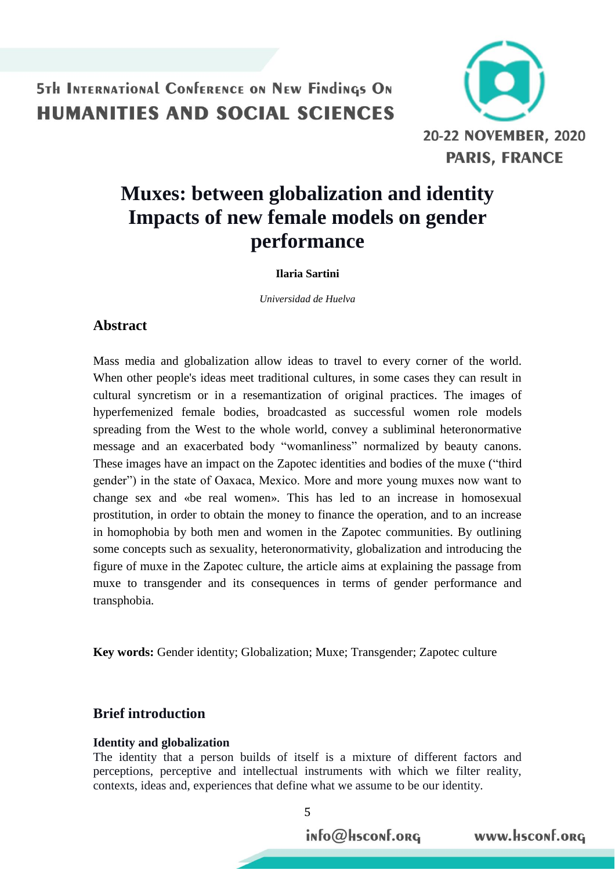

# **Muxes: between globalization and identity Impacts of new female models on gender performance**

#### **Ilaria Sartini**

*Universidad de Huelva* 

### **Abstract**

Mass media and globalization allow ideas to travel to every corner of the world. When other people's ideas meet traditional cultures, in some cases they can result in cultural syncretism or in a resemantization of original practices. The images of hyperfemenized female bodies, broadcasted as successful women role models spreading from the West to the whole world, convey a subliminal heteronormative message and an exacerbated body "womanliness" normalized by beauty canons. These images have an impact on the Zapotec identities and bodies of the muxe ("third gender") in the state of Oaxaca, Mexico. More and more young muxes now want to change sex and «be real women». This has led to an increase in homosexual prostitution, in order to obtain the money to finance the operation, and to an increase in homophobia by both men and women in the Zapotec communities. By outlining some concepts such as sexuality, heteronormativity, globalization and introducing the figure of muxe in the Zapotec culture, the article aims at explaining the passage from muxe to transgender and its consequences in terms of gender performance and transphobia.

**Key words:** Gender identity; Globalization; Muxe; Transgender; Zapotec culture

## **Brief introduction**

#### **Identity and globalization**

The identity that a person builds of itself is a mixture of different factors and perceptions, perceptive and intellectual instruments with which we filter reality, contexts, ideas and, experiences that define what we assume to be our identity.

5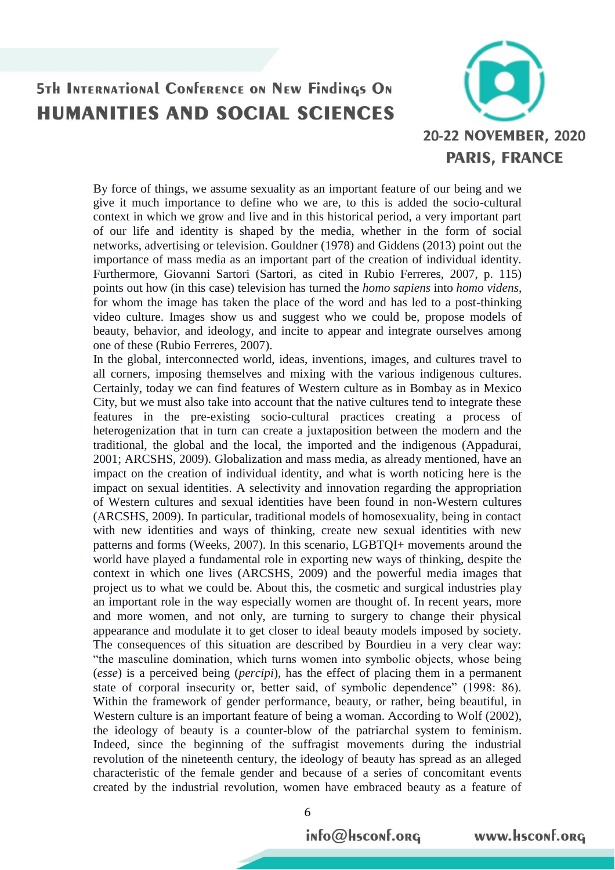

By force of things, we assume sexuality as an important feature of our being and we give it much importance to define who we are, to this is added the socio-cultural context in which we grow and live and in this historical period, a very important part of our life and identity is shaped by the media, whether in the form of social networks, advertising or television. Gouldner (1978) and Giddens (2013) point out the importance of mass media as an important part of the creation of individual identity. Furthermore, Giovanni Sartori (Sartori, as cited in Rubio Ferreres, 2007, p. 115) points out how (in this case) television has turned the *homo sapiens* into *homo videns*, for whom the image has taken the place of the word and has led to a post-thinking video culture. Images show us and suggest who we could be, propose models of beauty, behavior, and ideology, and incite to appear and integrate ourselves among one of these (Rubio Ferreres, 2007).

In the global, interconnected world, ideas, inventions, images, and cultures travel to all corners, imposing themselves and mixing with the various indigenous cultures. Certainly, today we can find features of Western culture as in Bombay as in Mexico City, but we must also take into account that the native cultures tend to integrate these features in the pre-existing socio-cultural practices creating a process of heterogenization that in turn can create a juxtaposition between the modern and the traditional, the global and the local, the imported and the indigenous (Appadurai, 2001; ARCSHS, 2009). Globalization and mass media, as already mentioned, have an impact on the creation of individual identity, and what is worth noticing here is the impact on sexual identities. A selectivity and innovation regarding the appropriation of Western cultures and sexual identities have been found in non-Western cultures (ARCSHS, 2009). In particular, traditional models of homosexuality, being in contact with new identities and ways of thinking, create new sexual identities with new patterns and forms (Weeks, 2007). In this scenario, LGBTQI+ movements around the world have played a fundamental role in exporting new ways of thinking, despite the context in which one lives (ARCSHS, 2009) and the powerful media images that project us to what we could be. About this, the cosmetic and surgical industries play an important role in the way especially women are thought of. In recent years, more and more women, and not only, are turning to surgery to change their physical appearance and modulate it to get closer to ideal beauty models imposed by society. The consequences of this situation are described by Bourdieu in a very clear way: "the masculine domination, which turns women into symbolic objects, whose being (*esse*) is a perceived being (*percipi*), has the effect of placing them in a permanent state of corporal insecurity or, better said, of symbolic dependence" (1998: 86). Within the framework of gender performance, beauty, or rather, being beautiful, in Western culture is an important feature of being a woman. According to Wolf (2002), the ideology of beauty is a counter-blow of the patriarchal system to feminism. Indeed, since the beginning of the suffragist movements during the industrial revolution of the nineteenth century, the ideology of beauty has spread as an alleged characteristic of the female gender and because of a series of concomitant events created by the industrial revolution, women have embraced beauty as a feature of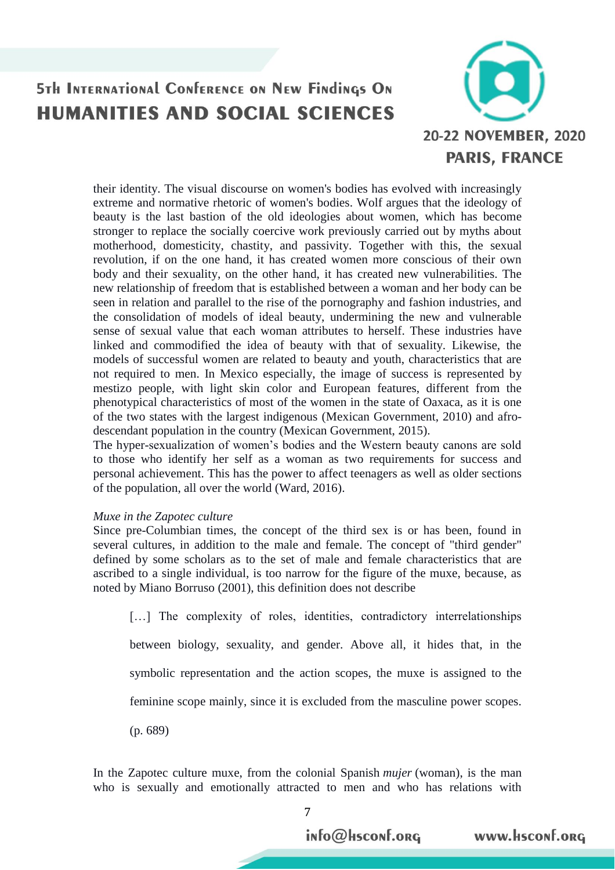

their identity. The visual discourse on women's bodies has evolved with increasingly extreme and normative rhetoric of women's bodies. Wolf argues that the ideology of beauty is the last bastion of the old ideologies about women, which has become stronger to replace the socially coercive work previously carried out by myths about motherhood, domesticity, chastity, and passivity. Together with this, the sexual revolution, if on the one hand, it has created women more conscious of their own body and their sexuality, on the other hand, it has created new vulnerabilities. The new relationship of freedom that is established between a woman and her body can be seen in relation and parallel to the rise of the pornography and fashion industries, and the consolidation of models of ideal beauty, undermining the new and vulnerable sense of sexual value that each woman attributes to herself. These industries have linked and commodified the idea of beauty with that of sexuality. Likewise, the models of successful women are related to beauty and youth, characteristics that are not required to men. In Mexico especially, the image of success is represented by mestizo people, with light skin color and European features, different from the phenotypical characteristics of most of the women in the state of Oaxaca, as it is one of the two states with the largest indigenous (Mexican Government, 2010) and afrodescendant population in the country (Mexican Government, 2015).

The hyper-sexualization of women's bodies and the Western beauty canons are sold to those who identify her self as a woman as two requirements for success and personal achievement. This has the power to affect teenagers as well as older sections of the population, all over the world (Ward, 2016).

#### *Muxe in the Zapotec culture*

Since pre-Columbian times, the concept of the third sex is or has been, found in several cultures, in addition to the male and female. The concept of "third gender" defined by some scholars as to the set of male and female characteristics that are ascribed to a single individual, is too narrow for the figure of the muxe, because, as noted by Miano Borruso (2001), this definition does not describe

[...] The complexity of roles, identities, contradictory interrelationships between biology, sexuality, and gender. Above all, it hides that, in the symbolic representation and the action scopes, the muxe is assigned to the feminine scope mainly, since it is excluded from the masculine power scopes. (p. 689)

In the Zapotec culture muxe, from the colonial Spanish *mujer* (woman), is the man who is sexually and emotionally attracted to men and who has relations with

<sup>7</sup>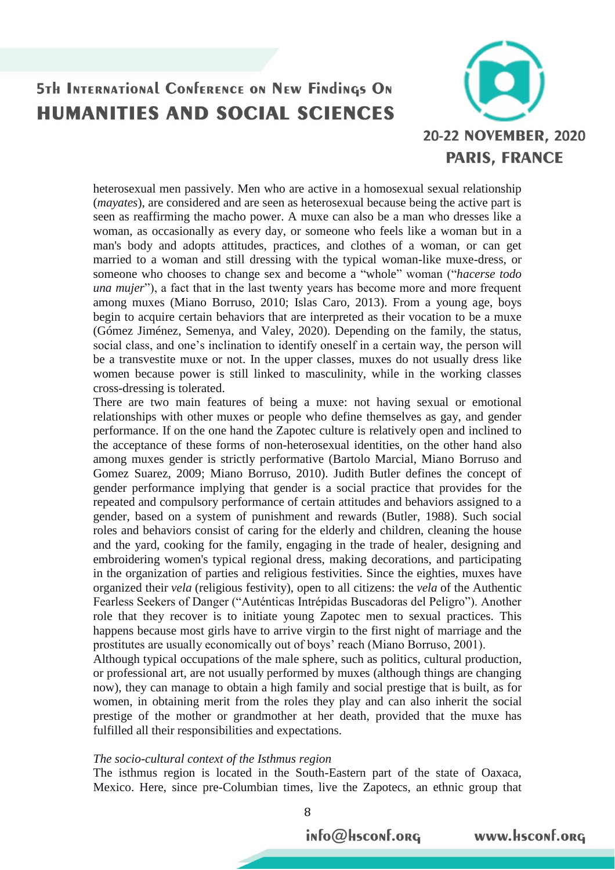

heterosexual men passively. Men who are active in a homosexual sexual relationship (*mayates*), are considered and are seen as heterosexual because being the active part is seen as reaffirming the macho power. A muxe can also be a man who dresses like a woman, as occasionally as every day, or someone who feels like a woman but in a man's body and adopts attitudes, practices, and clothes of a woman, or can get married to a woman and still dressing with the typical woman-like muxe-dress, or someone who chooses to change sex and become a "whole" woman ("*hacerse todo una mujer*"), a fact that in the last twenty years has become more and more frequent among muxes (Miano Borruso, 2010; Islas Caro, 2013). From a young age, boys begin to acquire certain behaviors that are interpreted as their vocation to be a muxe (Gómez Jiménez, Semenya, and Valey, 2020). Depending on the family, the status, social class, and one's inclination to identify oneself in a certain way, the person will be a transvestite muxe or not. In the upper classes, muxes do not usually dress like women because power is still linked to masculinity, while in the working classes cross-dressing is tolerated.

There are two main features of being a muxe: not having sexual or emotional relationships with other muxes or people who define themselves as gay, and gender performance. If on the one hand the Zapotec culture is relatively open and inclined to the acceptance of these forms of non-heterosexual identities, on the other hand also among muxes gender is strictly performative (Bartolo Marcial, Miano Borruso and Gomez Suarez, 2009; Miano Borruso, 2010). Judith Butler defines the concept of gender performance implying that gender is a social practice that provides for the repeated and compulsory performance of certain attitudes and behaviors assigned to a gender, based on a system of punishment and rewards (Butler, 1988). Such social roles and behaviors consist of caring for the elderly and children, cleaning the house and the yard, cooking for the family, engaging in the trade of healer, designing and embroidering women's typical regional dress, making decorations, and participating in the organization of parties and religious festivities. Since the eighties, muxes have organized their *vela* (religious festivity), open to all citizens: the *vela* of the Authentic Fearless Seekers of Danger ("Auténticas Intrépidas Buscadoras del Peligro"). Another role that they recover is to initiate young Zapotec men to sexual practices. This happens because most girls have to arrive virgin to the first night of marriage and the prostitutes are usually economically out of boys' reach (Miano Borruso, 2001).

Although typical occupations of the male sphere, such as politics, cultural production, or professional art, are not usually performed by muxes (although things are changing now), they can manage to obtain a high family and social prestige that is built, as for women, in obtaining merit from the roles they play and can also inherit the social prestige of the mother or grandmother at her death, provided that the muxe has fulfilled all their responsibilities and expectations.

#### *The socio-cultural context of the Isthmus region*

The isthmus region is located in the South-Eastern part of the state of Oaxaca, Mexico. Here, since pre-Columbian times, live the Zapotecs, an ethnic group that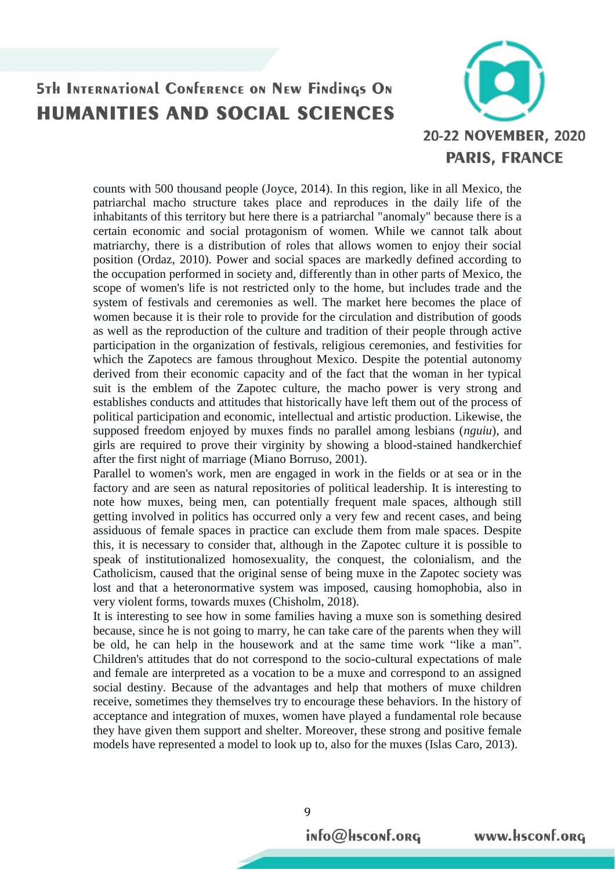

counts with 500 thousand people (Joyce, 2014). In this region, like in all Mexico, the patriarchal macho structure takes place and reproduces in the daily life of the inhabitants of this territory but here there is a patriarchal "anomaly" because there is a certain economic and social protagonism of women. While we cannot talk about matriarchy, there is a distribution of roles that allows women to enjoy their social position (Ordaz, 2010). Power and social spaces are markedly defined according to the occupation performed in society and, differently than in other parts of Mexico, the scope of women's life is not restricted only to the home, but includes trade and the system of festivals and ceremonies as well. The market here becomes the place of women because it is their role to provide for the circulation and distribution of goods as well as the reproduction of the culture and tradition of their people through active participation in the organization of festivals, religious ceremonies, and festivities for which the Zapotecs are famous throughout Mexico. Despite the potential autonomy derived from their economic capacity and of the fact that the woman in her typical suit is the emblem of the Zapotec culture, the macho power is very strong and establishes conducts and attitudes that historically have left them out of the process of political participation and economic, intellectual and artistic production. Likewise, the supposed freedom enjoyed by muxes finds no parallel among lesbians (*nguiu*), and girls are required to prove their virginity by showing a blood-stained handkerchief after the first night of marriage (Miano Borruso, 2001).

Parallel to women's work, men are engaged in work in the fields or at sea or in the factory and are seen as natural repositories of political leadership. It is interesting to note how muxes, being men, can potentially frequent male spaces, although still getting involved in politics has occurred only a very few and recent cases, and being assiduous of female spaces in practice can exclude them from male spaces. Despite this, it is necessary to consider that, although in the Zapotec culture it is possible to speak of institutionalized homosexuality, the conquest, the colonialism, and the Catholicism, caused that the original sense of being muxe in the Zapotec society was lost and that a heteronormative system was imposed, causing homophobia, also in very violent forms, towards muxes (Chisholm, 2018).

It is interesting to see how in some families having a muxe son is something desired because, since he is not going to marry, he can take care of the parents when they will be old, he can help in the housework and at the same time work "like a man". Children's attitudes that do not correspond to the socio-cultural expectations of male and female are interpreted as a vocation to be a muxe and correspond to an assigned social destiny. Because of the advantages and help that mothers of muxe children receive, sometimes they themselves try to encourage these behaviors. In the history of acceptance and integration of muxes, women have played a fundamental role because they have given them support and shelter. Moreover, these strong and positive female models have represented a model to look up to, also for the muxes (Islas Caro, 2013).

9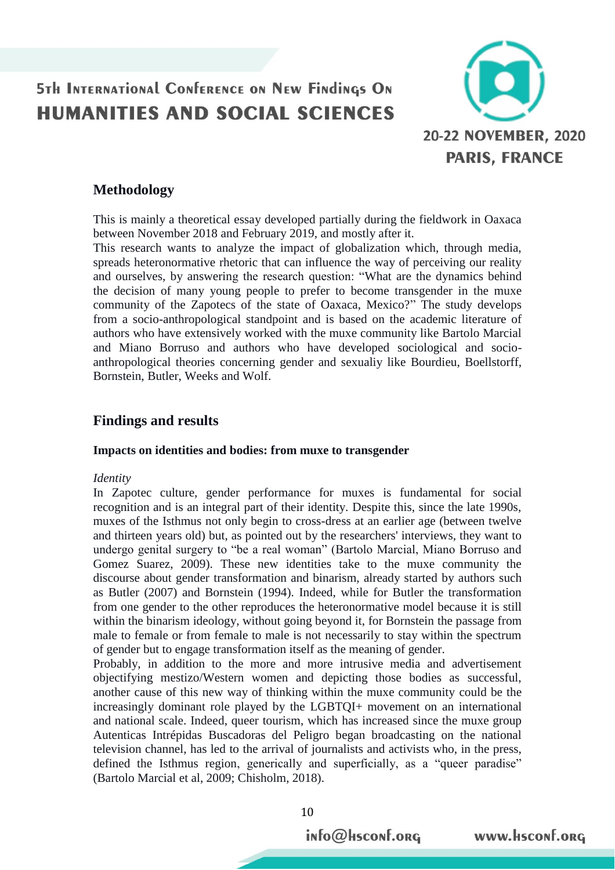

### **Methodology**

This is mainly a theoretical essay developed partially during the fieldwork in Oaxaca between November 2018 and February 2019, and mostly after it.

This research wants to analyze the impact of globalization which, through media, spreads heteronormative rhetoric that can influence the way of perceiving our reality and ourselves, by answering the research question: "What are the dynamics behind the decision of many young people to prefer to become transgender in the muxe community of the Zapotecs of the state of Oaxaca, Mexico?" The study develops from a socio-anthropological standpoint and is based on the academic literature of authors who have extensively worked with the muxe community like Bartolo Marcial and Miano Borruso and authors who have developed sociological and socioanthropological theories concerning gender and sexualiy like Bourdieu, Boellstorff, Bornstein, Butler, Weeks and Wolf.

### **Findings and results**

#### **Impacts on identities and bodies: from muxe to transgender**

#### *Identity*

In Zapotec culture, gender performance for muxes is fundamental for social recognition and is an integral part of their identity. Despite this, since the late 1990s, muxes of the Isthmus not only begin to cross-dress at an earlier age (between twelve and thirteen years old) but, as pointed out by the researchers' interviews, they want to undergo genital surgery to "be a real woman" (Bartolo Marcial, Miano Borruso and Gomez Suarez, 2009). These new identities take to the muxe community the discourse about gender transformation and binarism, already started by authors such as Butler (2007) and Bornstein (1994). Indeed, while for Butler the transformation from one gender to the other reproduces the heteronormative model because it is still within the binarism ideology, without going beyond it, for Bornstein the passage from male to female or from female to male is not necessarily to stay within the spectrum of gender but to engage transformation itself as the meaning of gender.

Probably, in addition to the more and more intrusive media and advertisement objectifying mestizo/Western women and depicting those bodies as successful, another cause of this new way of thinking within the muxe community could be the increasingly dominant role played by the LGBTQI+ movement on an international and national scale. Indeed, queer tourism, which has increased since the muxe group Autenticas Intrépidas Buscadoras del Peligro began broadcasting on the national television channel, has led to the arrival of journalists and activists who, in the press, defined the Isthmus region, generically and superficially, as a "queer paradise" (Bartolo Marcial et al, 2009; Chisholm, 2018).

10

info@Hsconf.org

www.hsconf.org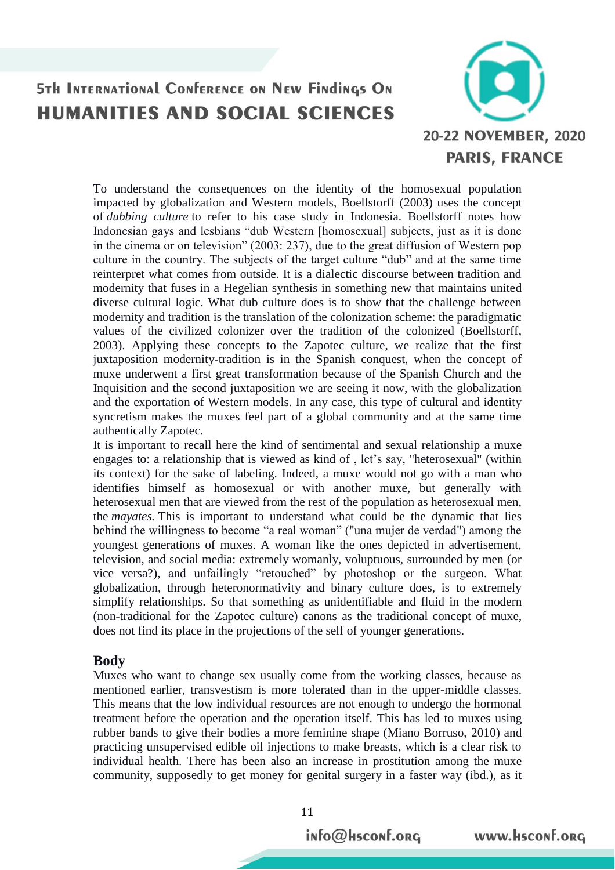

To understand the consequences on the identity of the homosexual population impacted by globalization and Western models, Boellstorff (2003) uses the concept of *dubbing culture* to refer to his case study in Indonesia. Boellstorff notes how Indonesian gays and lesbians "dub Western [homosexual] subjects, just as it is done in the cinema or on television" (2003: 237), due to the great diffusion of Western pop culture in the country. The subjects of the target culture "dub" and at the same time reinterpret what comes from outside. It is a dialectic discourse between tradition and modernity that fuses in a Hegelian synthesis in something new that maintains united diverse cultural logic. What dub culture does is to show that the challenge between modernity and tradition is the translation of the colonization scheme: the paradigmatic values of the civilized colonizer over the tradition of the colonized (Boellstorff, 2003). Applying these concepts to the Zapotec culture, we realize that the first juxtaposition modernity-tradition is in the Spanish conquest, when the concept of muxe underwent a first great transformation because of the Spanish Church and the Inquisition and the second juxtaposition we are seeing it now, with the globalization and the exportation of Western models. In any case, this type of cultural and identity syncretism makes the muxes feel part of a global community and at the same time authentically Zapotec.

It is important to recall here the kind of sentimental and sexual relationship a muxe engages to: a relationship that is viewed as kind of , let's say, "heterosexual" (within its context) for the sake of labeling. Indeed, a muxe would not go with a man who identifies himself as homosexual or with another muxe, but generally with heterosexual men that are viewed from the rest of the population as heterosexual men, the *mayates.* This is important to understand what could be the dynamic that lies behind the willingness to become "a real woman" ("una mujer de verdad") among the youngest generations of muxes. A woman like the ones depicted in advertisement, television, and social media: extremely womanly, voluptuous, surrounded by men (or vice versa?), and unfailingly "retouched" by photoshop or the surgeon. What globalization, through heteronormativity and binary culture does, is to extremely simplify relationships. So that something as unidentifiable and fluid in the modern (non-traditional for the Zapotec culture) canons as the traditional concept of muxe, does not find its place in the projections of the self of younger generations.

#### **Body**

Muxes who want to change sex usually come from the working classes, because as mentioned earlier, transvestism is more tolerated than in the upper-middle classes. This means that the low individual resources are not enough to undergo the hormonal treatment before the operation and the operation itself. This has led to muxes using rubber bands to give their bodies a more feminine shape (Miano Borruso, 2010) and practicing unsupervised edible oil injections to make breasts, which is a clear risk to individual health. There has been also an increase in prostitution among the muxe community, supposedly to get money for genital surgery in a faster way (ibd.), as it

info@Hsconf.org

www.hsconf.org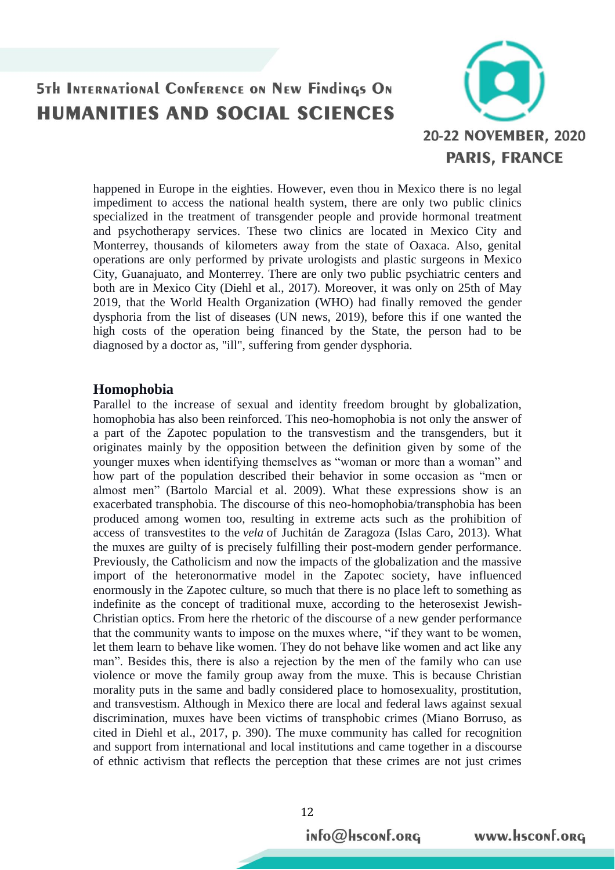

happened in Europe in the eighties. However, even thou in Mexico there is no legal impediment to access the national health system, there are only two public clinics specialized in the treatment of transgender people and provide hormonal treatment and psychotherapy services. These two clinics are located in Mexico City and Monterrey, thousands of kilometers away from the state of Oaxaca. Also, genital operations are only performed by private urologists and plastic surgeons in Mexico City, Guanajuato, and Monterrey. There are only two public psychiatric centers and both are in Mexico City (Diehl et al., 2017). Moreover, it was only on 25th of May 2019, that the World Health Organization (WHO) had finally removed the gender dysphoria from the list of diseases (UN news, 2019), before this if one wanted the high costs of the operation being financed by the State, the person had to be diagnosed by a doctor as, "ill", suffering from gender dysphoria.

#### **Homophobia**

Parallel to the increase of sexual and identity freedom brought by globalization, homophobia has also been reinforced. This neo-homophobia is not only the answer of a part of the Zapotec population to the transvestism and the transgenders, but it originates mainly by the opposition between the definition given by some of the younger muxes when identifying themselves as "woman or more than a woman" and how part of the population described their behavior in some occasion as "men or almost men" (Bartolo Marcial et al. 2009). What these expressions show is an exacerbated transphobia. The discourse of this neo-homophobia/transphobia has been produced among women too, resulting in extreme acts such as the prohibition of access of transvestites to the *vela* of Juchitán de Zaragoza (Islas Caro, 2013). What the muxes are guilty of is precisely fulfilling their post-modern gender performance. Previously, the Catholicism and now the impacts of the globalization and the massive import of the heteronormative model in the Zapotec society, have influenced enormously in the Zapotec culture, so much that there is no place left to something as indefinite as the concept of traditional muxe, according to the heterosexist Jewish-Christian optics. From here the rhetoric of the discourse of a new gender performance that the community wants to impose on the muxes where, "if they want to be women, let them learn to behave like women. They do not behave like women and act like any man". Besides this, there is also a rejection by the men of the family who can use violence or move the family group away from the muxe. This is because Christian morality puts in the same and badly considered place to homosexuality, prostitution, and transvestism. Although in Mexico there are local and federal laws against sexual discrimination, muxes have been victims of transphobic crimes (Miano Borruso, as cited in Diehl et al., 2017, p. 390). The muxe community has called for recognition and support from international and local institutions and came together in a discourse of ethnic activism that reflects the perception that these crimes are not just crimes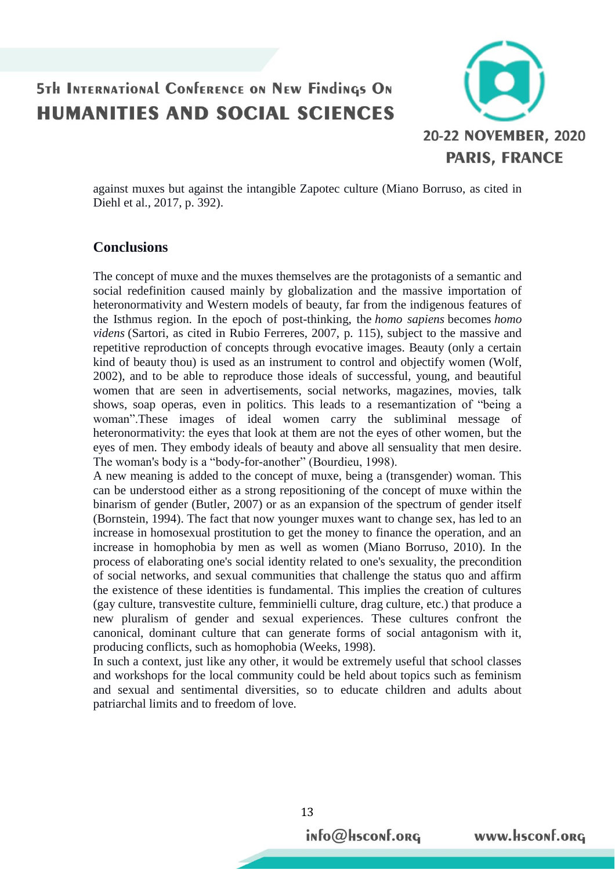

against muxes but against the intangible Zapotec culture (Miano Borruso, as cited in Diehl et al., 2017, p. 392).

### **Conclusions**

The concept of muxe and the muxes themselves are the protagonists of a semantic and social redefinition caused mainly by globalization and the massive importation of heteronormativity and Western models of beauty, far from the indigenous features of the Isthmus region. In the epoch of post-thinking, the *homo sapiens* becomes *homo videns* (Sartori, as cited in Rubio Ferreres, 2007, p. 115), subject to the massive and repetitive reproduction of concepts through evocative images. Beauty (only a certain kind of beauty thou) is used as an instrument to control and objectify women (Wolf, 2002), and to be able to reproduce those ideals of successful, young, and beautiful women that are seen in advertisements, social networks, magazines, movies, talk shows, soap operas, even in politics. This leads to a resemantization of "being a woman".These images of ideal women carry the subliminal message of heteronormativity: the eyes that look at them are not the eyes of other women, but the eyes of men. They embody ideals of beauty and above all sensuality that men desire. The woman's body is a "body-for-another" (Bourdieu, 1998).

A new meaning is added to the concept of muxe, being a (transgender) woman. This can be understood either as a strong repositioning of the concept of muxe within the binarism of gender (Butler, 2007) or as an expansion of the spectrum of gender itself (Bornstein, 1994). The fact that now younger muxes want to change sex, has led to an increase in homosexual prostitution to get the money to finance the operation, and an increase in homophobia by men as well as women (Miano Borruso, 2010). In the process of elaborating one's social identity related to one's sexuality, the precondition of social networks, and sexual communities that challenge the status quo and affirm the existence of these identities is fundamental. This implies the creation of cultures (gay culture, transvestite culture, femminielli culture, drag culture, etc.) that produce a new pluralism of gender and sexual experiences. These cultures confront the canonical, dominant culture that can generate forms of social antagonism with it, producing conflicts, such as homophobia (Weeks, 1998).

In such a context, just like any other, it would be extremely useful that school classes and workshops for the local community could be held about topics such as feminism and sexual and sentimental diversities, so to educate children and adults about patriarchal limits and to freedom of love.

info@Hsconf.org

www.Hsconf.org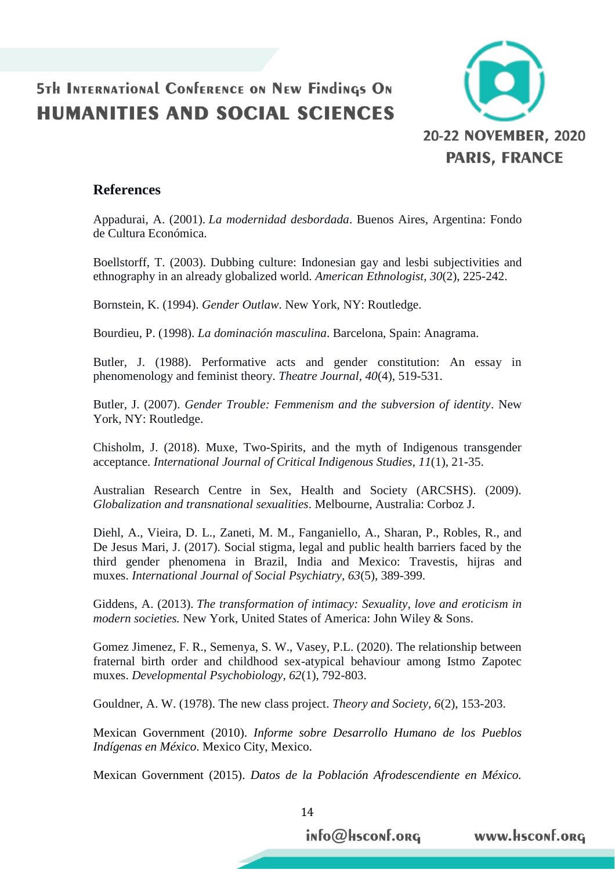

### **References**

Appadurai, A. (2001). *La modernidad desbordada*. Buenos Aires, Argentina: Fondo de Cultura Económica.

Boellstorff, T. (2003). Dubbing culture: Indonesian gay and lesbi subjectivities and ethnography in an already globalized world. *American Ethnologist, 30*(2), 225-242.

Bornstein, K. (1994). *Gender Outlaw*. New York, NY: Routledge.

Bourdieu, P. (1998). *La dominación masculina*. Barcelona, Spain: Anagrama.

Butler, J. (1988). Performative acts and gender constitution: An essay in phenomenology and feminist theory. *Theatre Journal, 40*(4), 519-531.

Butler, J. (2007). *Gender Trouble: Femmenism and the subversion of identity*. New York, NY: Routledge.

Chisholm, J. (2018). Muxe, Two-Spirits, and the myth of Indigenous transgender acceptance. *International Journal of Critical Indigenous Studies*, *11*(1), 21-35.

Australian Research Centre in Sex, Health and Society (ARCSHS). (2009). *Globalization and transnational sexualities*. Melbourne, Australia: Corboz J.

Diehl, A., Vieira, D. L., Zaneti, M. M., Fanganiello, A., Sharan, P., Robles, R., and De Jesus Mari, J. (2017). Social stigma, legal and public health barriers faced by the third gender phenomena in Brazil, India and Mexico: Travestis, hijras and muxes. *International Journal of Social Psychiatry, 63*(5), 389-399.

Giddens, A. (2013). *The transformation of intimacy: Sexuality, love and eroticism in modern societies.* New York, United States of America: John Wiley & Sons.

Gomez Jimenez, F. R., Semenya, S. W., Vasey, P.L. (2020). The relationship between fraternal birth order and childhood sex-atypical behaviour among Istmo Zapotec muxes. *Developmental Psychobiology, 62*(1), 792-803.

Gouldner, A. W. (1978). The new class project. *Theory and Society, 6*(2), 153-203.

Mexican Government (2010). *Informe sobre Desarrollo Humano de los Pueblos Indígenas en México*. Mexico City, Mexico.

Mexican Government (2015). *Datos de la Población Afrodescendiente en México.* 

14

info@Hsconf.org

www.Hsconf.org